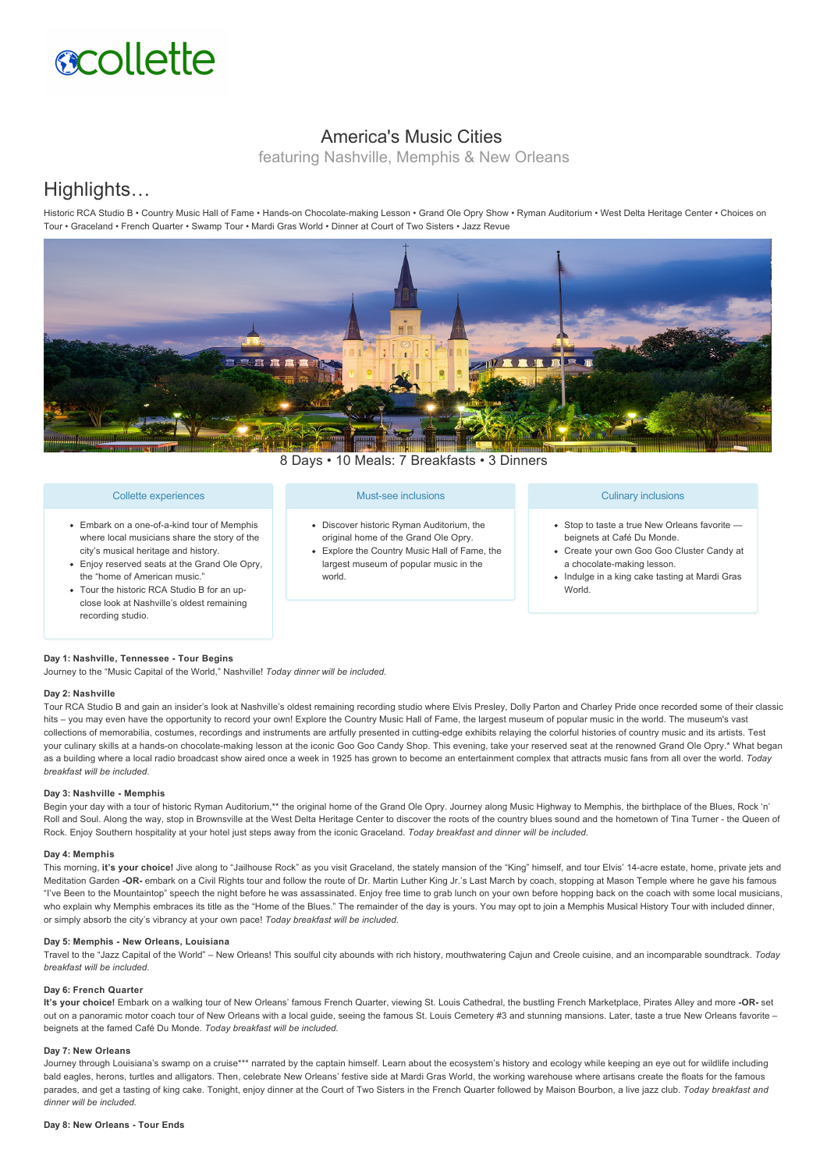# **scollette**

# America's Music Cities

featuring Nashville, Memphis & New Orleans

# Highlights…

Historic RCA Studio B · Country Music Hall of Fame · Hands-on Chocolate-making Lesson · Grand Ole Opry Show · Ryman Auditorium · West Delta Heritage Center · Choices on Tour • Graceland • French Quarter • Swamp Tour • Mardi Gras World • Dinner at Court of Two Sisters • Jazz Revue



8 Days • 10 Meals: 7 Breakfasts • 3 Dinners

# Collette experiences

- Embark on a one-of-a-kind tour of Memphis where local musicians share the story of the city's musical heritage and history.
- Enjoy reserved seats at the Grand Ole Opry, the "home of American music."
- Tour the historic RCA Studio B for an upclose look at Nashville's oldest remaining recording studio.

#### Must-see inclusions

- Discover historic Ryman Auditorium, the original home of the Grand Ole Opry.
- Explore the Country Music Hall of Fame, the largest museum of popular music in the world.

#### Culinary inclusions

- Stop to taste a true New Orleans favorite beignets at Café Du Monde.
- Create your own Goo Goo Cluster Candy at a chocolate-making lesson.
- Indulge in a king cake tasting at Mardi Gras World.

## **Day 1: Nashville, Tennessee Tour Begins**

Journey to the "Music Capital of the World," Nashville! *Today dinner will be included.*

## **Day 2: Nashville**

Tour RCA Studio B and gain an insider's look at Nashville's oldest remaining recording studio where Elvis Presley, Dolly Parton and Charley Pride once recorded some of their classic hits – you may even have the opportunity to record your own! Explore the Country Music Hall of Fame, the largest museum of popular music in the world. The museum's vast collections of memorabilia, costumes, recordings and instruments are artfully presented in cutting-edge exhibits relaying the colorful histories of country music and its artists. Test your culinary skills at a hands-on chocolate-making lesson at the iconic Goo Goo Candy Shop. This evening, take your reserved seat at the renowned Grand Ole Opry.\* What began as a building where a local radio broadcast show aired once a week in 1925 has grown to become an entertainment complex that attracts music fans from all over the world. *Today breakfast will be included.*

### **Day 3: Nashville Memphis**

Begin your day with a tour of historic Ryman Auditorium,\*\* the original home of the Grand Ole Opry. Journey along Music Highway to Memphis, the birthplace of the Blues, Rock 'n' Roll and Soul. Along the way, stop in Brownsville at the West Delta Heritage Center to discover the roots of the country blues sound and the hometown of Tina Turner - the Queen of Rock. Enjoy Southern hospitality at your hotel just steps away from the iconic Graceland. *Today breakfast and dinner will be included.*

#### **Day 4: Memphis**

This morning, it's your choice! Jive along to "Jailhouse Rock" as you visit Graceland, the stately mansion of the "King" himself, and tour Elvis' 14-acre estate, home, private jets and Meditation Garden -OR- embark on a Civil Rights tour and follow the route of Dr. Martin Luther King Jr.'s Last March by coach, stopping at Mason Temple where he gave his famous "I've Been to the Mountaintop" speech the night before he was assassinated. Enjoy free time to grab lunch on your own before hopping back on the coach with some local musicians, who explain why Memphis embraces its title as the "Home of the Blues." The remainder of the day is yours. You may opt to join a Memphis Musical History Tour with included dinner, or simply absorb the city's vibrancy at your own pace! *Today breakfast will be included.*

#### **Day 5: Memphis - New Orleans, Louisiana**

Travel to the "Jazz Capital of the World" – New Orleans! This soulful city abounds with rich history, mouthwatering Cajun and Creole cuisine, and an incomparable soundtrack. *Today breakfast will be included.*

#### **Day 6: French Quarter**

**It's your choice!** Embark on a walking tour of New Orleans' famous French Quarter, viewing St. Louis Cathedral, the bustling French Marketplace, Pirates Alley and more **OR** set out on a panoramic motor coach tour of New Orleans with a local guide, seeing the famous St. Louis Cemetery #3 and stunning mansions. Later, taste a true New Orleans favorite beignets at the famed Café Du Monde. *Today breakfast will be included.*

#### **Day 7: New Orleans**

Journey through Louisiana's swamp on a cruise\*\*\* narrated by the captain himself. Learn about the ecosystem's history and ecology while keeping an eye out for wildlife including bald eagles, herons, turtles and alligators. Then, celebrate New Orleans' festive side at Mardi Gras World, the working warehouse where artisans create the floats for the famous parades, and get a tasting of king cake. Tonight, enjoy dinner at the Court of Two Sisters in the French Quarter followed by Maison Bourbon, a live jazz club. *Today breakfast and dinner will be included.*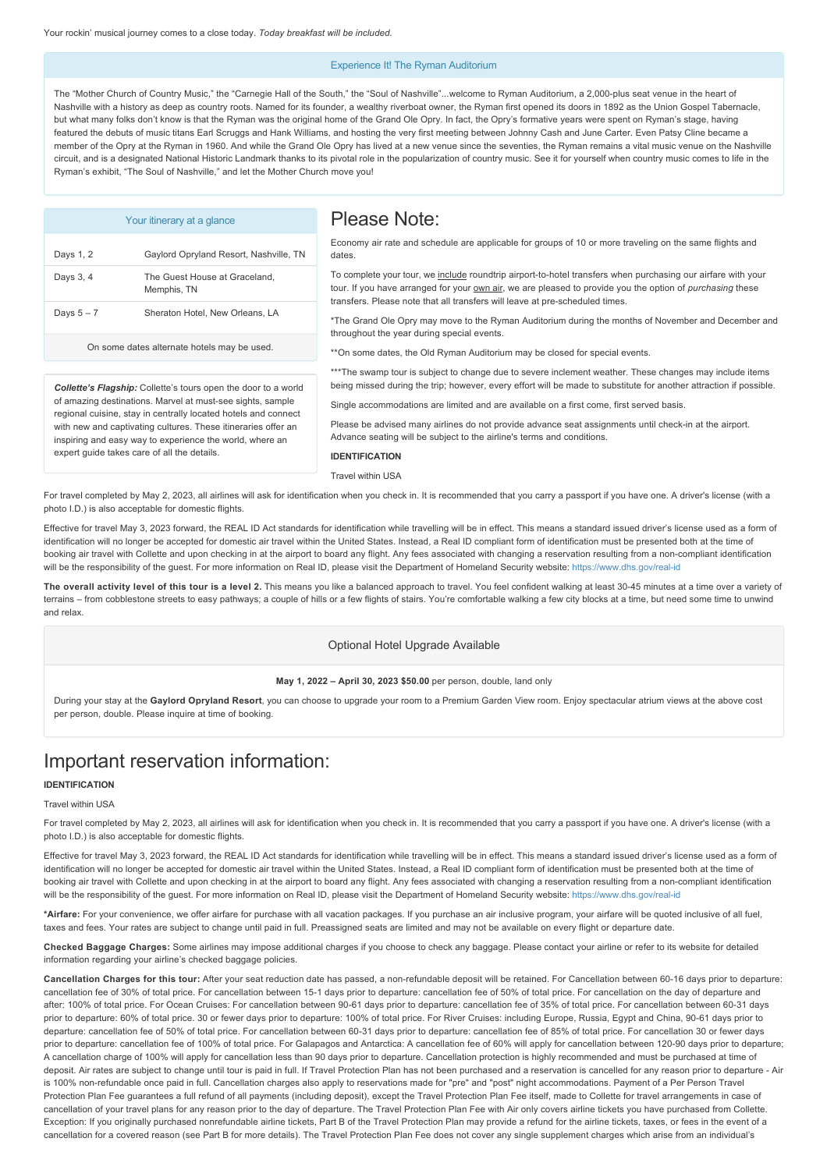#### Experience It! The Ryman Auditorium

The "Mother Church of Country Music," the "Carnegie Hall of the South," the "Soul of Nashville"...welcome to Ryman Auditorium, a 2,000-plus seat venue in the heart of Nashville with a history as deep as country roots. Named for its founder, a wealthy riverboat owner, the Ryman first opened its doors in 1892 as the Union Gospel Tabernacle. but what many folks don't know is that the Ryman was the original home of the Grand Ole Opry. In fact, the Opry's formative years were spent on Ryman's stage, having featured the debuts of music titans Earl Scruggs and Hank Williams, and hosting the very first meeting between Johnny Cash and June Carter. Even Patsy Cline became a member of the Opry at the Ryman in 1960. And while the Grand Ole Opry has lived at a new venue since the seventies, the Ryman remains a vital music venue on the Nashville circuit, and is a designated National Historic Landmark thanks to its pivotal role in the popularization of country music. See it for yourself when country music comes to life in the Ryman's exhibit, "The Soul of Nashville," and let the Mother Church move you!

| Your itinerary at a glance                                                                                                                                                                                                                                                                                                                                                        |                                              | Please Note:                                                                                                                                                                                                                                                                                                                                                                                                                                                                                                                                                       |
|-----------------------------------------------------------------------------------------------------------------------------------------------------------------------------------------------------------------------------------------------------------------------------------------------------------------------------------------------------------------------------------|----------------------------------------------|--------------------------------------------------------------------------------------------------------------------------------------------------------------------------------------------------------------------------------------------------------------------------------------------------------------------------------------------------------------------------------------------------------------------------------------------------------------------------------------------------------------------------------------------------------------------|
| Days 1, 2                                                                                                                                                                                                                                                                                                                                                                         | Gaylord Opryland Resort, Nashville, TN       | Economy air rate and schedule are applicable for groups of 10 or more traveling on the same flights and<br>dates.                                                                                                                                                                                                                                                                                                                                                                                                                                                  |
| Days 3, 4                                                                                                                                                                                                                                                                                                                                                                         | The Guest House at Graceland.<br>Memphis, TN | To complete your tour, we include roundtrip airport-to-hotel transfers when purchasing our airfare with your<br>tour. If you have arranged for your own air, we are pleased to provide you the option of purchasing these<br>transfers. Please note that all transfers will leave at pre-scheduled times.<br>*The Grand Ole Opry may move to the Ryman Auditorium during the months of November and December and<br>throughout the year during special events.                                                                                                     |
| Days $5 - 7$                                                                                                                                                                                                                                                                                                                                                                      | Sheraton Hotel, New Orleans, LA              |                                                                                                                                                                                                                                                                                                                                                                                                                                                                                                                                                                    |
| On some dates alternate hotels may be used.                                                                                                                                                                                                                                                                                                                                       |                                              | ** On some dates, the Old Ryman Auditorium may be closed for special events.                                                                                                                                                                                                                                                                                                                                                                                                                                                                                       |
| <b>Collette's Flagship:</b> Collette's tours open the door to a world<br>of amazing destinations. Marvel at must-see sights, sample<br>regional cuisine, stay in centrally located hotels and connect<br>with new and captivating cultures. These itineraries offer an<br>inspiring and easy way to experience the world, where an<br>expert guide takes care of all the details. |                                              | ***The swamp tour is subject to change due to severe inclement weather. These changes may include items<br>being missed during the trip; however, every effort will be made to substitute for another attraction if possible.<br>Single accommodations are limited and are available on a first come, first served basis.<br>Please be advised many airlines do not provide advance seat assignments until check-in at the airport.<br>Advance seating will be subject to the airline's terms and conditions.<br><b>IDENTIFICATION</b><br><b>Travel within USA</b> |

For travel completed by May 2, 2023, all airlines will ask for identification when you check in. It is recommended that you carry a passport if you have one. A driver's license (with a photo I.D.) is also acceptable for domestic flights.

Effective for travel May 3, 2023 forward, the REAL ID Act standards for identification while travelling will be in effect. This means a standard issued driver's license used as a form of identification will no longer be accepted for domestic air travel within the United States. Instead, a Real ID compliant form of identification must be presented both at the time of booking air travel with Collette and upon checking in at the airport to board any flight. Any fees associated with changing a reservation resulting from a non-compliant identification will be the responsibility of the quest. For more information on Real ID, please visit the Department of Homeland Security website; https://www.dhs.gov/real-id

The overall activity level of this tour is a level 2. This means you like a balanced approach to travel. You feel confident walking at least 30-45 minutes at a time over a variety of terrains – from cobblestone streets to easy pathways; a couple of hills or a few flights of stairs. You're comfortable walking a few city blocks at a time, but need some time to unwind and relax.

## Optional Hotel Upgrade Available

#### **May 1, 2022 – April 30, 2023 \$50.00** per person, double, land only

During your stay at the **Gaylord Opryland Resort**, you can choose to upgrade your room to a Premium Garden View room. Enjoy spectacular atrium views at the above cost per person, double. Please inquire at time of booking.

# Important reservation information:

# **IDENTIFICATION**

# Travel within USA

For travel completed by May 2, 2023, all airlines will ask for identification when you check in. It is recommended that you carry a passport if you have one. A driver's license (with a photo I.D.) is also acceptable for domestic flights.

Effective for travel May 3, 2023 forward, the REAL ID Act standards for identification while travelling will be in effect. This means a standard issued driver's license used as a form of identification will no longer be accepted for domestic air travel within the United States. Instead, a Real ID compliant form of identification must be presented both at the time of booking air travel with Collette and upon checking in at the airport to board any flight. Any fees associated with changing a reservation resulting from a non-compliant identification will be the responsibility of the quest. For more information on Real ID, please visit the Department of Homeland Security website: https://www.dhs.gov/real-id

**\*Airfare:** For your convenience, we offer airfare for purchase with all vacation packages. If you purchase an air inclusive program, your airfare will be quoted inclusive of all fuel, taxes and fees. Your rates are subject to change until paid in full. Preassigned seats are limited and may not be available on every flight or departure date.

**Checked Baggage Charges:** Some airlines may impose additional charges if you choose to check any baggage. Please contact your airline or refer to its website for detailed information regarding your airline's checked baggage policies.

Cancellation Charges for this tour: After your seat reduction date has passed, a non-refundable deposit will be retained. For Cancellation between 60-16 days prior to departure: cancellation fee of 30% of total price. For cancellation between 15-1 days prior to departure: cancellation fee of 50% of total price. For cancellation on the day of departure and after: 100% of total price. For Ocean Cruises: For cancellation between 90-61 days prior to departure: cancellation fee of 35% of total price. For cancellation between 60-31 days prior to departure: 60% of total price. 30 or fewer days prior to departure: 100% of total price. For River Cruises: including Europe, Russia, Egypt and China, 90-61 days prior to departure: cancellation fee of 50% of total price. For cancellation between 60-31 days prior to departure: cancellation fee of 85% of total price. For cancellation 30 or fewer days prior to departure: cancellation fee of 100% of total price. For Galapagos and Antarctica: A cancellation fee of 60% will apply for cancellation between 120-90 days prior to departure; A cancellation charge of 100% will apply for cancellation less than 90 days prior to departure. Cancellation protection is highly recommended and must be purchased at time of deposit. Air rates are subject to change until tour is paid in full. If Travel Protection Plan has not been purchased and a reservation is cancelled for any reason prior to departure Air is 100% non-refundable once paid in full. Cancellation charges also apply to reservations made for "pre" and "post" night accommodations. Payment of a Per Person Travel Protection Plan Fee guarantees a full refund of all payments (including deposit), except the Travel Protection Plan Fee itself, made to Collette for travel arrangements in case of cancellation of your travel plans for any reason prior to the day of departure. The Travel Protection Plan Fee with Air only covers airline tickets you have purchased from Collette. Exception: If you originally purchased nonrefundable airline tickets, Part B of the Travel Protection Plan may provide a refund for the airline tickets, taxes, or fees in the event of a cancellation for a covered reason (see Part B for more details). The Travel Protection Plan Fee does not cover any single supplement charges which arise from an individual's